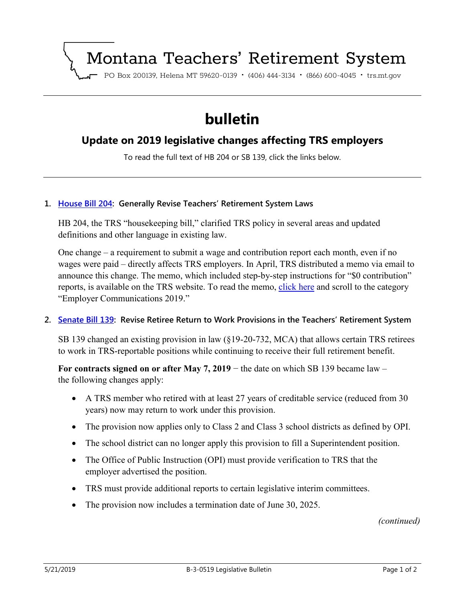# Montana Teachers' Retirement System

PO Box 200139, Helena MT 59620-0139 · (406) 444-3134 · (866) 600-4045 · trs.mt.gov

## **bulletin**

## **Update on 2019 legislative changes affecting TRS employers**

To read the full text of HB 204 or SB 139, click the links below.

#### **1. [House Bill 204:](https://leg.mt.gov/bills/2019/sesslaws/ch0276.pdf) Generally Revise Teachers' Retirement System Laws**

HB 204, the TRS "housekeeping bill," clarified TRS policy in several areas and updated definitions and other language in existing law.

One change – a requirement to submit a wage and contribution report each month, even if no wages were paid – directly affects TRS employers. In April, TRS distributed a memo via email to announce this change. The memo, which included step-by-step instructions for "\$0 contribution" reports, is available on the TRS website. To read the memo, [click here](https://trs.mt.gov/TrsInfo/NoticeArchive) and scroll to the category "Employer Communications 2019."

#### **2. [Senate Bill 139:](https://leg.mt.gov/bills/2019/sesslaws/ch0307.pdf) Revise Retiree Return to Work Provisions in the Teachers' Retirement System**

SB 139 changed an existing provision in law (§19-20-732, MCA) that allows certain TRS retirees to work in TRS-reportable positions while continuing to receive their full retirement benefit.

**For contracts signed on or after May 7, 2019** − the date on which SB 139 became law – the following changes apply:

- A TRS member who retired with at least 27 years of creditable service (reduced from 30 years) now may return to work under this provision.
- The provision now applies only to Class 2 and Class 3 school districts as defined by OPI.
- The school district can no longer apply this provision to fill a Superintendent position.
- The Office of Public Instruction (OPI) must provide verification to TRS that the employer advertised the position.
- TRS must provide additional reports to certain legislative interim committees.
- The provision now includes a termination date of June 30, 2025.

*(continued)*